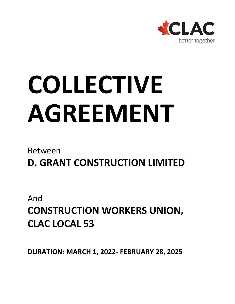

# **COLLECTIVE AGREEMENT**

### Between

**D. GRANT CONSTRUCTION LIMITED**

And **CONSTRUCTION WORKERS UNION, CLAC LOCAL 53**

**DURATION: MARCH 1, 2022- FEBRUARY 28, 2025**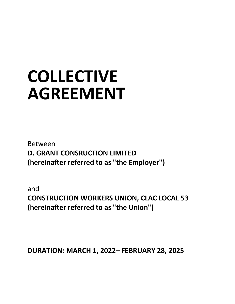## **COLLECTIVE AGREEMENT**

Between **D. GRANT CONSRUCTION LIMITED (hereinafter referred to as "the Employer")**

and **CONSTRUCTION WORKERS UNION, CLAC LOCAL 53 (hereinafter referred to as "the Union")**

**DURATION: MARCH 1, 2022– FEBRUARY 28, 2025**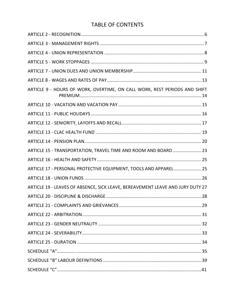#### TABLE OF CONTENTS

| ARTICLE 9 - HOURS OF WORK, OVERTIME, ON CALL WORK, REST PERIODS AND SHIFT      |  |
|--------------------------------------------------------------------------------|--|
|                                                                                |  |
|                                                                                |  |
|                                                                                |  |
|                                                                                |  |
|                                                                                |  |
| ARTICLE 15 - TRANSPORTATION, TRAVEL TIME AND ROOM AND BOARD  23                |  |
|                                                                                |  |
| ARTICLE 17 - PERSONAL PROTECTIVE EQUIPMENT, TOOLS AND APPAREL 25               |  |
|                                                                                |  |
| ARTICLE 19 - LEAVES OF ABSENCE, SICK LEAVE, BEREAVEMENT LEAVE AND JURY DUTY 27 |  |
|                                                                                |  |
|                                                                                |  |
|                                                                                |  |
|                                                                                |  |
|                                                                                |  |
|                                                                                |  |
|                                                                                |  |
|                                                                                |  |
|                                                                                |  |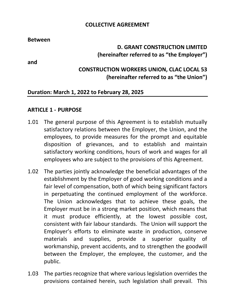#### **COLLECTIVE AGREEMENT**

**Between**

#### **D. GRANT CONSTRUCTION LIMITED (hereinafter referred to as "the Employer")**

**and**

#### **CONSTRUCTION WORKERS UNION, CLAC LOCAL 53 (hereinafter referred to as "the Union")**

#### **Duration: March 1, 2022 to February 28, 2025**

#### **ARTICLE 1 - PURPOSE**

- 1.01 The general purpose of this Agreement is to establish mutually satisfactory relations between the Employer, the Union, and the employees, to provide measures for the prompt and equitable disposition of grievances, and to establish and maintain satisfactory working conditions, hours of work and wages for all employees who are subject to the provisions of this Agreement.
- 1.02 The parties jointly acknowledge the beneficial advantages of the establishment by the Employer of good working conditions and a fair level of compensation, both of which being significant factors in perpetuating the continued employment of the workforce. The Union acknowledges that to achieve these goals, the Employer must be in a strong market position, which means that it must produce efficiently, at the lowest possible cost, consistent with fair labour standards. The Union will support the Employer's efforts to eliminate waste in production, conserve materials and supplies, provide a superior quality of workmanship, prevent accidents, and to strengthen the goodwill between the Employer, the employee, the customer, and the public.
- 1.03 The parties recognize that where various legislation overrides the provisions contained herein, such legislation shall prevail. This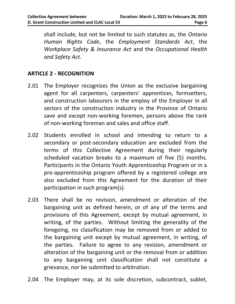shall include, but not be limited to such statutes as, the *Ontario Human Rights Code*, the *Employment Standards Act*, the *Workplace Safety & Insurance Act* and the *Occupational Health and Safety Act*.

#### <span id="page-4-0"></span>**ARTICLE 2 - RECOGNITION**

- 2.01 The Employer recognizes the Union as the exclusive bargaining agent for all carpenters, carpenters' apprentices, formsetters, and construction labourers in the employ of the Employer in all sectors of the construction industry in the Province of Ontario save and except non-working foremen, persons above the rank of non-working foreman and sales and office staff.
- 2.02 Students enrolled in school and intending to return to a secondary or post-secondary education are excluded from the terms of this Collective Agreement during their regularly scheduled vacation breaks to a maximum of five (5) months. Participants in the Ontario Youth Apprenticeship Program or in a pre-apprenticeship program offered by a registered college are also excluded from this Agreement for the duration of their participation in such program(s).
- 2.03 There shall be no revision, amendment or alteration of the bargaining unit as defined herein, or of any of the terms and provisions of this Agreement, except by mutual agreement, in writing, of the parties. Without limiting the generality of the foregoing, no classification may be removed from or added to the bargaining unit except by mutual agreement, in writing, of the parties. Failure to agree to any revision, amendment or alteration of the bargaining unit or the removal from or addition to any bargaining unit classification shall not constitute a grievance, nor be submitted to arbitration.
- 2.04 The Employer may, at its sole discretion, subcontract, sublet,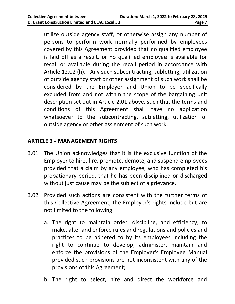utilize outside agency staff, or otherwise assign any number of persons to perform work normally performed by employees covered by this Agreement provided that no qualified employee is laid off as a result, or no qualified employee is available for recall or available during the recall period in accordance with Article 12.02 (h). Any such subcontracting, subletting, utilization of outside agency staff or other assignment of such work shall be considered by the Employer and Union to be specifically excluded from and not within the scope of the bargaining unit description set out in Article 2.01 above, such that the terms and conditions of this Agreement shall have no application whatsoever to the subcontracting, subletting, utilization of outside agency or other assignment of such work.

#### <span id="page-5-0"></span>**ARTICLE 3 - MANAGEMENT RIGHTS**

- 3.01 The Union acknowledges that it is the exclusive function of the Employer to hire, fire, promote, demote, and suspend employees provided that a claim by any employee, who has completed his probationary period, that he has been disciplined or discharged without just cause may be the subject of a grievance.
- 3.02 Provided such actions are consistent with the further terms of this Collective Agreement, the Employer's rights include but are not limited to the following:
	- a. The right to maintain order, discipline, and efficiency; to make, alter and enforce rules and regulations and policies and practices to be adhered to by its employees including the right to continue to develop, administer, maintain and enforce the provisions of the Employer's Employee Manual provided such provisions are not inconsistent with any of the provisions of this Agreement;
	- b. The right to select, hire and direct the workforce and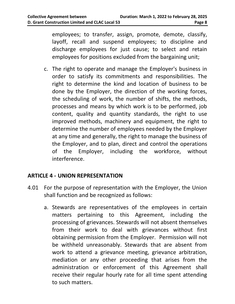employees; to transfer, assign, promote, demote, classify, layoff, recall and suspend employees; to discipline and discharge employees for just cause; to select and retain employees for positions excluded from the bargaining unit;

c. The right to operate and manage the Employer's business in order to satisfy its commitments and responsibilities. The right to determine the kind and location of business to be done by the Employer, the direction of the working forces, the scheduling of work, the number of shifts, the methods, processes and means by which work is to be performed, job content, quality and quantity standards, the right to use improved methods, machinery and equipment, the right to determine the number of employees needed by the Employer at any time and generally, the right to manage the business of the Employer, and to plan, direct and control the operations of the Employer, including the workforce, without interference.

#### <span id="page-6-0"></span>**ARTICLE 4 - UNION REPRESENTATION**

- 4.01 For the purpose of representation with the Employer, the Union shall function and be recognized as follows:
	- a. Stewards are representatives of the employees in certain matters pertaining to this Agreement, including the processing of grievances. Stewards will not absent themselves from their work to deal with grievances without first obtaining permission from the Employer. Permission will not be withheld unreasonably. Stewards that are absent from work to attend a grievance meeting, grievance arbitration, mediation or any other proceeding that arises from the administration or enforcement of this Agreement shall receive their regular hourly rate for all time spent attending to such matters.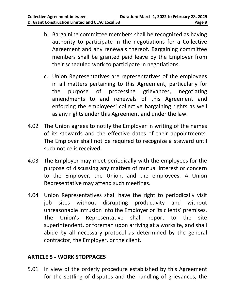- b. Bargaining committee members shall be recognized as having authority to participate in the negotiations for a Collective Agreement and any renewals thereof. Bargaining committee members shall be granted paid leave by the Employer from their scheduled work to participate in negotiations.
- c. Union Representatives are representatives of the employees in all matters pertaining to this Agreement, particularly for the purpose of processing grievances, negotiating amendments to and renewals of this Agreement and enforcing the employees' collective bargaining rights as well as any rights under this Agreement and under the law.
- 4.02 The Union agrees to notify the Employer in writing of the names of its stewards and the effective dates of their appointments. The Employer shall not be required to recognize a steward until such notice is received.
- 4.03 The Employer may meet periodically with the employees for the purpose of discussing any matters of mutual interest or concern to the Employer, the Union, and the employees. A Union Representative may attend such meetings.
- 4.04 Union Representatives shall have the right to periodically visit job sites without disrupting productivity and without unreasonable intrusion into the Employer or its clients' premises. The Union's Representative shall report to the site superintendent, or foreman upon arriving at a worksite, and shall abide by all necessary protocol as determined by the general contractor, the Employer, or the client.

#### <span id="page-7-0"></span>**ARTICLE 5 - WORK STOPPAGES**

5.01 In view of the orderly procedure established by this Agreement for the settling of disputes and the handling of grievances, the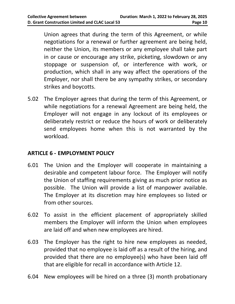Union agrees that during the term of this Agreement, or while negotiations for a renewal or further agreement are being held, neither the Union, its members or any employee shall take part in or cause or encourage any strike, picketing, slowdown or any stoppage or suspension of, or interference with work, or production, which shall in any way affect the operations of the Employer, nor shall there be any sympathy strikes, or secondary strikes and boycotts.

5.02 The Employer agrees that during the term of this Agreement, or while negotiations for a renewal Agreement are being held, the Employer will not engage in any lockout of its employees or deliberately restrict or reduce the hours of work or deliberately send employees home when this is not warranted by the workload.

#### **ARTICLE 6 - EMPLOYMENT POLICY**

- 6.01 The Union and the Employer will cooperate in maintaining a desirable and competent labour force. The Employer will notify the Union of staffing requirements giving as much prior notice as possible. The Union will provide a list of manpower available. The Employer at its discretion may hire employees so listed or from other sources.
- 6.02 To assist in the efficient placement of appropriately skilled members the Employer will inform the Union when employees are laid off and when new employees are hired.
- 6.03 The Employer has the right to hire new employees as needed, provided that no employee is laid off as a result of the hiring, and provided that there are no employee(s) who have been laid off that are eligible for recall in accordance with Article 12.
- 6.04 New employees will be hired on a three (3) month probationary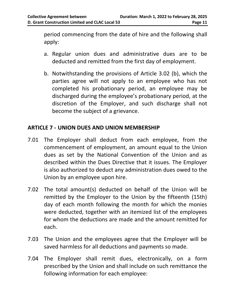period commencing from the date of hire and the following shall apply:

- a. Regular union dues and administrative dues are to be deducted and remitted from the first day of employment.
- b. Notwithstanding the provisions of Article 3.02 (b), which the parties agree will not apply to an employee who has not completed his probationary period, an employee may be discharged during the employee's probationary period, at the discretion of the Employer, and such discharge shall not become the subject of a grievance.

#### <span id="page-9-0"></span>**ARTICLE 7 - UNION DUES AND UNION MEMBERSHIP**

- 7.01 The Employer shall deduct from each employee, from the commencement of employment, an amount equal to the Union dues as set by the National Convention of the Union and as described within the Dues Directive that it issues. The Employer is also authorized to deduct any administration dues owed to the Union by an employee upon hire.
- 7.02 The total amount(s) deducted on behalf of the Union will be remitted by the Employer to the Union by the fifteenth (15th) day of each month following the month for which the monies were deducted, together with an itemized list of the employees for whom the deductions are made and the amount remitted for each.
- 7.03 The Union and the employees agree that the Employer will be saved harmless for all deductions and payments so made.
- 7.04 The Employer shall remit dues, electronically, on a form prescribed by the Union and shall include on such remittance the following information for each employee: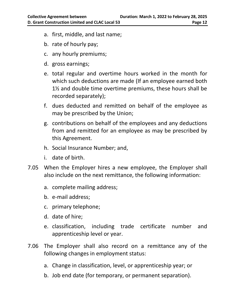- a. first, middle, and last name;
- b. rate of hourly pay;
- c. any hourly premiums;
- d. gross earnings;
- e. total regular and overtime hours worked in the month for which such deductions are made (If an employee earned both 1½ and double time overtime premiums, these hours shall be recorded separately);
- f. dues deducted and remitted on behalf of the employee as may be prescribed by the Union;
- g. contributions on behalf of the employees and any deductions from and remitted for an employee as may be prescribed by this Agreement.
- h. Social Insurance Number; and,
- i. date of birth.
- 7.05 When the Employer hires a new employee, the Employer shall also include on the next remittance, the following information:
	- a. complete mailing address;
	- b. e-mail address;
	- c. primary telephone;
	- d. date of hire;
	- e. classification, including trade certificate number and apprenticeship level or year.
- 7.06 The Employer shall also record on a remittance any of the following changes in employment status:
	- a. Change in classification, level, or apprenticeship year; or
	- b. Job end date (for temporary, or permanent separation).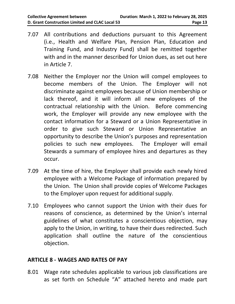- 7.07 All contributions and deductions pursuant to this Agreement (i.e., Health and Welfare Plan, Pension Plan, Education and Training Fund, and Industry Fund) shall be remitted together with and in the manner described for Union dues, as set out here in Article 7.
- 7.08 Neither the Employer nor the Union will compel employees to become members of the Union. The Employer will not discriminate against employees because of Union membership or lack thereof, and it will inform all new employees of the contractual relationship with the Union. Before commencing work, the Employer will provide any new employee with the contact information for a Steward or a Union Representative in order to give such Steward or Union Representative an opportunity to describe the Union's purposes and representation policies to such new employees. The Employer will email Stewards a summary of employee hires and departures as they occur.
- 7.09 At the time of hire, the Employer shall provide each newly hired employee with a Welcome Package of information prepared by the Union. The Union shall provide copies of Welcome Packages to the Employer upon request for additional supply.
- 7.10 Employees who cannot support the Union with their dues for reasons of conscience, as determined by the Union's internal guidelines of what constitutes a conscientious objection, may apply to the Union, in writing, to have their dues redirected. Such application shall outline the nature of the conscientious objection.

#### <span id="page-11-0"></span>**ARTICLE 8 - WAGES AND RATES OF PAY**

8.01 Wage rate schedules applicable to various job classifications are as set forth on Schedule "A" attached hereto and made part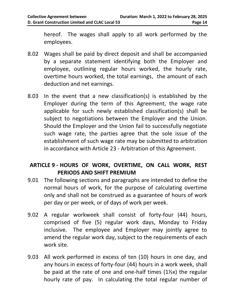hereof. The wages shall apply to all work performed by the employees.

- 8.02 Wages shall be paid by direct deposit and shall be accompanied by a separate statement identifying both the Employer and employee, outlining regular hours worked, the hourly rate, overtime hours worked, the total earnings, the amount of each deduction and net earnings.
- 8.03 In the event that a new classification(s) is established by the Employer during the term of this Agreement, the wage rate applicable for such newly established classification(s) shall be subject to negotiations between the Employer and the Union. Should the Employer and the Union fail to successfully negotiate such wage rate, the parties agree that the sole issue of the establishment of such wage rate may be submitted to arbitration in accordance with Article 23 - Arbitration of this Agreement.

#### <span id="page-12-0"></span>**ARTICLE 9 - HOURS OF WORK, OVERTIME, ON CALL WORK, REST PERIODS AND SHIFT PREMIUM**

- 9.01 The following sections and paragraphs are intended to define the normal hours of work, for the purpose of calculating overtime only and shall not be construed as a guarantee of hours of work per day or per week, or of days of work per week.
- 9.02 A regular workweek shall consist of forty-four (44) hours, comprised of five (5) regular work days, Monday to Friday inclusive. The employee and Employer may jointly agree to amend the regular work day, subject to the requirements of each work site.
- 9.03 All work performed in excess of ten (10) hours in one day, and any hours in excess of forty-four (44) hours in a work week, shall be paid at the rate of one and one-half times (1½x) the regular hourly rate of pay. In calculating the total regular number of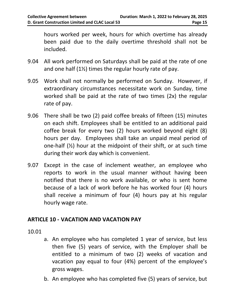hours worked per week, hours for which overtime has already been paid due to the daily overtime threshold shall not be included.

- 9.04 All work performed on Saturdays shall be paid at the rate of one and one half (1½) times the regular hourly rate of pay.
- 9.05 Work shall not normally be performed on Sunday. However, if extraordinary circumstances necessitate work on Sunday, time worked shall be paid at the rate of two times (2x) the regular rate of pay.
- 9.06 There shall be two (2) paid coffee breaks of fifteen (15) minutes on each shift. Employees shall be entitled to an additional paid coffee break for every two (2) hours worked beyond eight (8) hours per day. Employees shall take an unpaid meal period of one-half  $(\frac{1}{2})$  hour at the midpoint of their shift, or at such time during their work day which is convenient.
- 9.07 Except in the case of inclement weather, an employee who reports to work in the usual manner without having been notified that there is no work available, or who is sent home because of a lack of work before he has worked four (4) hours shall receive a minimum of four (4) hours pay at his regular hourly wage rate.

#### <span id="page-13-0"></span>**ARTICLE 10 - VACATION AND VACATION PAY**

10.01

- a. An employee who has completed 1 year of service, but less then five (5) years of service, with the Employer shall be entitled to a minimum of two (2) weeks of vacation and vacation pay equal to four (4%) percent of the employee's gross wages.
- b. An employee who has completed five (5) years of service, but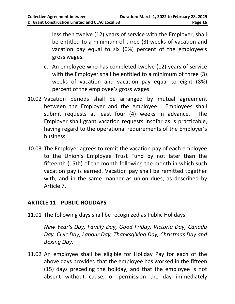less then twelve (12) years of service with the Employer, shall be entitled to a minimum of three (3) weeks of vacation and vacation pay equal to six (6%) percent of the employee's gross wages.

- c. An employee who has completed twelve (12) years of service with the Employer shall be entitled to a minimum of three (3) weeks of vacation and vacation pay equal to eight (8%) percent of the employee's gross wages.
- 10.02 Vacation periods shall be arranged by mutual agreement between the Employer and the employee. Employees shall submit requests at least four (4) weeks in advance. The Employer shall grant vacation requests insofar as is practicable, having regard to the operational requirements of the Employer's business.
- 10.03 The Employer agrees to remit the vacation pay of each employee to the Union's Employee Trust Fund by not later than the fifteenth (15th) of the month following the month in which such vacation pay is earned. Vacation pay shall be remitted together with, and in the same manner as union dues, as described by Article 7.

#### <span id="page-14-0"></span>**ARTICLE 11 - PUBLIC HOLIDAYS**

11.01 The following days shall be recognized as Public Holidays:

*New Year's Day, Family Day, Good Friday, Victoria Day, Canada Day, Civic Day, Labour Day, Thanksgiving Day, Christmas Day and Boxing Day.*

11.02 An employee shall be eligible for Holiday Pay for each of the above days provided that the employee has worked in the fifteen (15) days preceding the holiday, and that the employee is not absent without cause, or permission the day immediately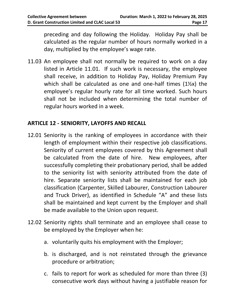preceding and day following the Holiday. Holiday Pay shall be calculated as the regular number of hours normally worked in a day, multiplied by the employee's wage rate.

11.03 An employee shall not normally be required to work on a day listed in Article 11.01. If such work is necessary, the employee shall receive, in addition to Holiday Pay, Holiday Premium Pay which shall be calculated as one and one-half times (1½x) the employee's regular hourly rate for all time worked. Such hours shall not be included when determining the total number of regular hours worked in a week.

#### <span id="page-15-0"></span>**ARTICLE 12 - SENIORITY, LAYOFFS AND RECALL**

- 12.01 Seniority is the ranking of employees in accordance with their length of employment within their respective job classifications. Seniority of current employees covered by this Agreement shall be calculated from the date of hire. New employees, after successfully completing their probationary period, shall be added to the seniority list with seniority attributed from the date of hire. Separate seniority lists shall be maintained for each job classification (Carpenter, Skilled Labourer, Construction Labourer and Truck Driver), as identified in Schedule "A" and these lists shall be maintained and kept current by the Employer and shall be made available to the Union upon request.
- 12.02 Seniority rights shall terminate and an employee shall cease to be employed by the Employer when he:
	- a. voluntarily quits his employment with the Employer;
	- b. is discharged, and is not reinstated through the grievance procedure or arbitration;
	- c. fails to report for work as scheduled for more than three (3) consecutive work days without having a justifiable reason for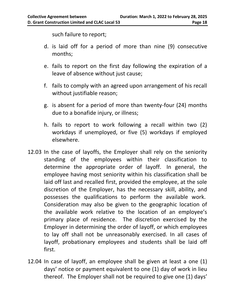such failure to report;

- d. is laid off for a period of more than nine (9) consecutive months;
- e. fails to report on the first day following the expiration of a leave of absence without just cause;
- f. fails to comply with an agreed upon arrangement of his recall without justifiable reason;
- g. is absent for a period of more than twenty-four (24) months due to a bonafide injury, or illness;
- h. fails to report to work following a recall within two (2) workdays if unemployed, or five (5) workdays if employed elsewhere.
- 12.03 In the case of layoffs, the Employer shall rely on the seniority standing of the employees within their classification to determine the appropriate order of layoff. In general, the employee having most seniority within his classification shall be laid off last and recalled first, provided the employee, at the sole discretion of the Employer, has the necessary skill, ability, and possesses the qualifications to perform the available work. Consideration may also be given to the geographic location of the available work relative to the location of an employee's primary place of residence. The discretion exercised by the Employer in determining the order of layoff, or which employees to lay off shall not be unreasonably exercised. In all cases of layoff, probationary employees and students shall be laid off first.
- 12.04 In case of layoff, an employee shall be given at least a one (1) days' notice or payment equivalent to one (1) day of work in lieu thereof. The Employer shall not be required to give one (1) days'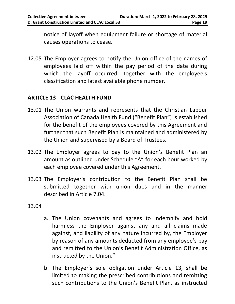notice of layoff when equipment failure or shortage of material causes operations to cease.

12.05 The Employer agrees to notify the Union office of the names of employees laid off within the pay period of the date during which the layoff occurred, together with the employee's classification and latest available phone number.

#### <span id="page-17-0"></span>**ARTICLE 13 - CLAC HEALTH FUND**

- 13.01 The Union warrants and represents that the Christian Labour Association of Canada Health Fund ("Benefit Plan") is established for the benefit of the employees covered by this Agreement and further that such Benefit Plan is maintained and administered by the Union and supervised by a Board of Trustees.
- 13.02 The Employer agrees to pay to the Union's Benefit Plan an amount as outlined under Schedule "A" for each hour worked by each employee covered under this Agreement.
- 13.03 The Employer's contribution to the Benefit Plan shall be submitted together with union dues and in the manner described in Article 7.04.
- 13.04
- a. The Union covenants and agrees to indemnify and hold harmless the Employer against any and all claims made against, and liability of any nature incurred by, the Employer by reason of any amounts deducted from any employee's pay and remitted to the Union's Benefit Administration Office, as instructed by the Union."
- b. The Employer's sole obligation under Article 13, shall be limited to making the prescribed contributions and remitting such contributions to the Union's Benefit Plan, as instructed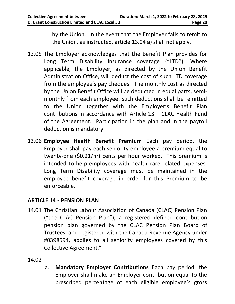by the Union. In the event that the Employer fails to remit to the Union, as instructed, article 13.04 a) shall not apply.

- 13.05 The Employer acknowledges that the Benefit Plan provides for Long Term Disability insurance coverage ("LTD"). Where applicable, the Employer, as directed by the Union Benefit Administration Office, will deduct the cost of such LTD coverage from the employee's pay cheques. The monthly cost as directed by the Union Benefit Office will be deducted in equal parts, semimonthly from each employee. Such deductions shall be remitted to the Union together with the Employer's Benefit Plan contributions in accordance with Article 13 – CLAC Health Fund of the Agreement. Participation in the plan and in the payroll deduction is mandatory.
- 13.06 **Employee Health Benefit Premium** Each pay period, the Employer shall pay each seniority employee a premium equal to twenty-one (\$0.21/hr) cents per hour worked. This premium is intended to help employees with health care related expenses. Long Term Disability coverage must be maintained in the employee benefit coverage in order for this Premium to be enforceable.

#### <span id="page-18-0"></span>**ARTICLE 14 - PENSION PLAN**

- 14.01 The Christian Labour Association of Canada (CLAC) Pension Plan ("the CLAC Pension Plan"), a registered defined contribution pension plan governed by the CLAC Pension Plan Board of Trustees, and registered with the Canada Revenue Agency under #0398594, applies to all seniority employees covered by this Collective Agreement."
- 14.02
- a. **Mandatory Employer Contributions** Each pay period, the Employer shall make an Employer contribution equal to the prescribed percentage of each eligible employee's gross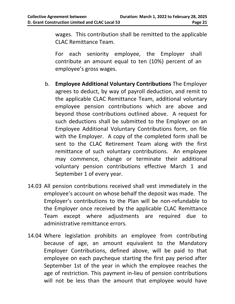wages. This contribution shall be remitted to the applicable CLAC Remittance Team.

For each seniority employee, the Employer shall contribute an amount equal to ten (10%) percent of an employee's gross wages.

- b. **Employee Additional Voluntary Contributions** The Employer agrees to deduct, by way of payroll deduction, and remit to the applicable CLAC Remittance Team, additional voluntary employee pension contributions which are above and beyond those contributions outlined above. A request for such deductions shall be submitted to the Employer on an Employee Additional Voluntary Contributions form, on file with the Employer. A copy of the completed form shall be sent to the CLAC Retirement Team along with the first remittance of such voluntary contributions. An employee may commence, change or terminate their additional voluntary pension contributions effective March 1 and September 1 of every year.
- 14.03 All pension contributions received shall vest immediately in the employee's account on whose behalf the deposit was made. The Employer's contributions to the Plan will be non-refundable to the Employer once received by the applicable CLAC Remittance Team except where adjustments are required due to administrative remittance errors.
- 14.04 Where legislation prohibits an employee from contributing because of age, an amount equivalent to the Mandatory Employer Contributions, defined above, will be paid to that employee on each paycheque starting the first pay period after September 1st of the year in which the employee reaches the age of restriction. This payment in-lieu of pension contributions will not be less than the amount that employee would have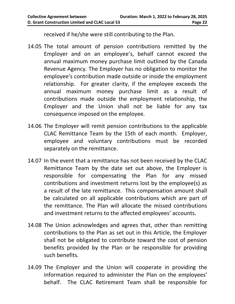received if he/she were still contributing to the Plan.

- 14.05 The total amount of pension contributions remitted by the Employer and on an employee's, behalf cannot exceed the annual maximum money purchase limit outlined by the Canada Revenue Agency. The Employer has no obligation to monitor the employee's contribution made outside or inside the employment relationship. For greater clarity, if the employee exceeds the annual maximum money purchase limit as a result of contributions made outside the employment relationship, the Employer and the Union shall not be liable for any tax consequence imposed on the employee.
- 14.06 The Employer will remit pension contributions to the applicable CLAC Remittance Team by the 15th of each month. Employer, employee and voluntary contributions must be recorded separately on the remittance.
- 14.07 In the event that a remittance has not been received by the CLAC Remittance Team by the date set out above, the Employer is responsible for compensating the Plan for any missed contributions and investment returns lost by the employee(s) as a result of the late remittance. This compensation amount shall be calculated on all applicable contributions which are part of the remittance. The Plan will allocate the missed contributions and investment returns to the affected employees' accounts.
- 14.08 The Union acknowledges and agrees that, other than remitting contributions to the Plan as set out in this Article, the Employer shall not be obligated to contribute toward the cost of pension benefits provided by the Plan or be responsible for providing such benefits.
- 14.09 The Employer and the Union will cooperate in providing the information required to administer the Plan on the employees' behalf. The CLAC Retirement Team shall be responsible for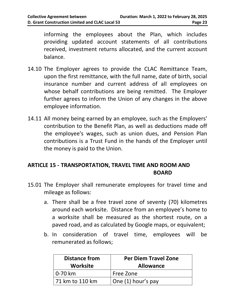informing the employees about the Plan, which includes providing updated account statements of all contributions received, investment returns allocated, and the current account balance.

- 14.10 The Employer agrees to provide the CLAC Remittance Team, upon the first remittance, with the full name, date of birth, social insurance number and current address of all employees on whose behalf contributions are being remitted. The Employer further agrees to inform the Union of any changes in the above employee information.
- 14.11 All money being earned by an employee, such as the Employers' contribution to the Benefit Plan, as well as deductions made off the employee's wages, such as union dues, and Pension Plan contributions is a Trust Fund in the hands of the Employer until the money is paid to the Union.

#### <span id="page-21-0"></span>**ARTICLE 15 - TRANSPORTATION, TRAVEL TIME AND ROOM AND BOARD**

- 15.01 The Employer shall remunerate employees for travel time and mileage as follows:
	- a. There shall be a free travel zone of seventy (70) kilometres around each worksite. Distance from an employee's home to a worksite shall be measured as the shortest route, on a paved road, and as calculated by Google maps, or equivalent;
	- b. In consideration of travel time, employees will be remunerated as follows;

| <b>Distance from</b><br><b>Worksite</b> | <b>Per Diem Travel Zone</b><br><b>Allowance</b> |  |  |
|-----------------------------------------|-------------------------------------------------|--|--|
| l 0-70 km                               | Free Zone                                       |  |  |
| 171 km to 110 km                        | One (1) hour's pay                              |  |  |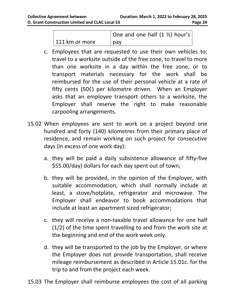|                | One and one half $(1 \frac{1}{2})$ hour's |
|----------------|-------------------------------------------|
| 111 km or more | pay                                       |

- c. Employees that are requested to use their own vehicles to; travel to a worksite outside of the free zone, to travel to more than one worksite in a day within the free zone, or to transport materials necessary for the work shall be reimbursed for the use of their personal vehicle at a rate of fifty cents (50¢) per kilometre driven. When an Employer asks that an employee transport others to a worksite, the Employer shall reserve the right to make reasonable carpooling arrangements.
- 15.02 When employees are sent to work on a project beyond one hundred and forty (140) kilometres from their primary place of residence, and remain working on such project for consecutive days (in excess of one work day):
	- a. they will be paid a daily subsistence allowance of fifty-five \$55.00/day) dollars for each day spent out of town;
	- b. they will be provided, in the opinion of the Employer, with suitable accommodation, which shall normally include at least, a stove/hotplate, refrigerator and microwave. The Employer shall endeavor to book accommodations that include at least an apartment sized refrigerator;
	- c. they will receive a non-taxable travel allowance for one half (1/2) of the time spent travelling to and from the work site at the beginning and end of the work week only.
	- d. they will be transported to the job by the Employer, or where the Employer does not provide transportation, shall receive mileage reimbursement as described in Article 15.01c. for the trip to and from the project each week.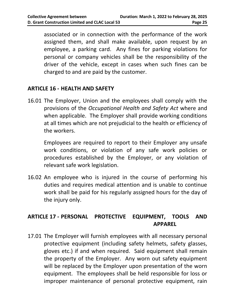associated or in connection with the performance of the work assigned them, and shall make available, upon request by an employee, a parking card. Any fines for parking violations for personal or company vehicles shall be the responsibility of the driver of the vehicle, except in cases when such fines can be charged to and are paid by the customer.

#### <span id="page-23-0"></span>**ARTICLE 16 - HEALTH AND SAFETY**

16.01 The Employer, Union and the employees shall comply with the provisions of the *Occupational Health and Safety Act* where and when applicable. The Employer shall provide working conditions at all times which are not prejudicial to the health or efficiency of the workers.

Employees are required to report to their Employer any unsafe work conditions, or violation of any safe work policies or procedures established by the Employer, or any violation of relevant safe work legislation.

16.02 An employee who is injured in the course of performing his duties and requires medical attention and is unable to continue work shall be paid for his regularly assigned hours for the day of the injury only.

#### <span id="page-23-1"></span>**ARTICLE 17 - PERSONAL PROTECTIVE EQUIPMENT, TOOLS AND APPAREL**

17.01 The Employer will furnish employees with all necessary personal protective equipment (including safety helmets, safety glasses, gloves etc.) if and when required. Said equipment shall remain the property of the Employer. Any worn out safety equipment will be replaced by the Employer upon presentation of the worn equipment. The employees shall be held responsible for loss or improper maintenance of personal protective equipment, rain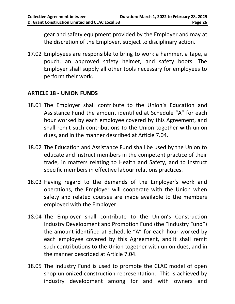gear and safety equipment provided by the Employer and may at the discretion of the Employer, subject to disciplinary action.

17.02 Employees are responsible to bring to work a hammer, a tape, a pouch, an approved safety helmet, and safety boots. The Employer shall supply all other tools necessary for employees to perform their work.

#### <span id="page-24-0"></span>**ARTICLE 18 - UNION FUNDS**

- 18.01 The Employer shall contribute to the Union's Education and Assistance Fund the amount identified at Schedule "A" for each hour worked by each employee covered by this Agreement, and shall remit such contributions to the Union together with union dues, and in the manner described at Article 7.04.
- 18.02 The Education and Assistance Fund shall be used by the Union to educate and instruct members in the competent practice of their trade, in matters relating to Health and Safety, and to instruct specific members in effective labour relations practices.
- 18.03 Having regard to the demands of the Employer's work and operations, the Employer will cooperate with the Union when safety and related courses are made available to the members employed with the Employer.
- 18.04 The Employer shall contribute to the Union's Construction Industry Development and Promotion Fund (the "Industry Fund") the amount identified at Schedule "A" for each hour worked by each employee covered by this Agreement, and it shall remit such contributions to the Union together with union dues, and in the manner described at Article 7.04.
- 18.05 The Industry Fund is used to promote the CLAC model of open shop unionized construction representation. This is achieved by industry development among for and with owners and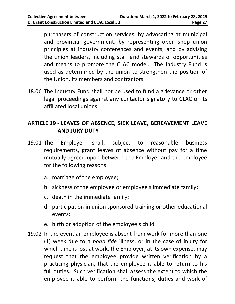purchasers of construction services, by advocating at municipal and provincial government, by representing open shop union principles at industry conferences and events, and by advising the union leaders, including staff and stewards of opportunities and means to promote the CLAC model. The Industry Fund is used as determined by the union to strengthen the position of the Union, its members and contractors.

18.06 The Industry Fund shall not be used to fund a grievance or other legal proceedings against any contactor signatory to CLAC or its affiliated local unions.

#### <span id="page-25-0"></span>**ARTICLE 19 - LEAVES OF ABSENCE, SICK LEAVE, BEREAVEMENT LEAVE AND JURY DUTY**

- 19.01 The Employer shall, subject to reasonable business requirements, grant leaves of absence without pay for a time mutually agreed upon between the Employer and the employee for the following reasons:
	- a. marriage of the employee;
	- b. sickness of the employee or employee's immediate family;
	- c. death in the immediate family;
	- d. participation in union sponsored training or other educational events;
	- e. birth or adoption of the employee's child.
- 19.02 In the event an employee is absent from work for more than one (1) week due to a *bona fide* illness, or in the case of injury for which time is lost at work, the Employer, at its own expense, may request that the employee provide written verification by a practicing physician, that the employee is able to return to his full duties. Such verification shall assess the extent to which the employee is able to perform the functions, duties and work of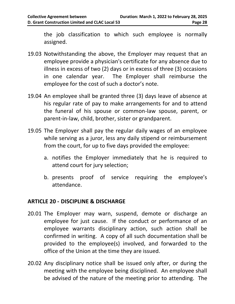the job classification to which such employee is normally assigned.

- 19.03 Notwithstanding the above, the Employer may request that an employee provide a physician's certificate for any absence due to illness in excess of two (2) days or in excess of three (3) occasions in one calendar year. The Employer shall reimburse the employee for the cost of such a doctor's note.
- 19.04 An employee shall be granted three (3) days leave of absence at his regular rate of pay to make arrangements for and to attend the funeral of his spouse or common-law spouse, parent, or parent-in-law, child, brother, sister or grandparent.
- 19.05 The Employer shall pay the regular daily wages of an employee while serving as a juror, less any daily stipend or reimbursement from the court, for up to five days provided the employee:
	- a. notifies the Employer immediately that he is required to attend court for jury selection;
	- b. presents proof of service requiring the employee's attendance.

#### <span id="page-26-0"></span>**ARTICLE 20 - DISCIPLINE & DISCHARGE**

- 20.01 The Employer may warn, suspend, demote or discharge an employee for just cause. If the conduct or performance of an employee warrants disciplinary action, such action shall be confirmed in writing. A copy of all such documentation shall be provided to the employee(s) involved, and forwarded to the office of the Union at the time they are issued.
- 20.02 Any disciplinary notice shall be issued only after, or during the meeting with the employee being disciplined. An employee shall be advised of the nature of the meeting prior to attending. The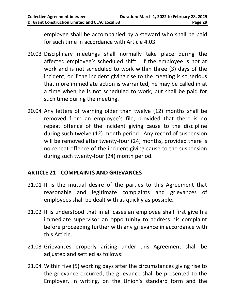employee shall be accompanied by a steward who shall be paid for such time in accordance with Article 4.03.

- 20.03 Disciplinary meetings shall normally take place during the affected employee's scheduled shift. If the employee is not at work and is not scheduled to work within three (3) days of the incident, or if the incident giving rise to the meeting is so serious that more immediate action is warranted, he may be called in at a time when he is not scheduled to work, but shall be paid for such time during the meeting.
- 20.04 Any letters of warning older than twelve (12) months shall be removed from an employee's file, provided that there is no repeat offence of the incident giving cause to the discipline during such twelve (12) month period. Any record of suspension will be removed after twenty-four (24) months, provided there is no repeat offence of the incident giving cause to the suspension during such twenty-four (24) month period.

#### <span id="page-27-0"></span>**ARTICLE 21 - COMPLAINTS AND GRIEVANCES**

- 21.01 It is the mutual desire of the parties to this Agreement that reasonable and legitimate complaints and grievances of employees shall be dealt with as quickly as possible.
- 21.02 It is understood that in all cases an employee shall first give his immediate supervisor an opportunity to address his complaint before proceeding further with any grievance in accordance with this Article.
- 21.03 Grievances properly arising under this Agreement shall be adjusted and settled as follows:
- 21.04 Within five (5) working days after the circumstances giving rise to the grievance occurred, the grievance shall be presented to the Employer, in writing, on the Union's standard form and the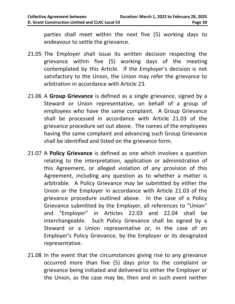parties shall meet within the next five (5) working days to endeavour to settle the grievance.

- 21.05 The Employer shall issue its written decision respecting the grievance within five (5) working days of the meeting contemplated by this Article. If the Employer's decision is not satisfactory to the Union, the Union may refer the grievance to arbitration in accordance with Article 23.
- 21.06 A **Group Grievance** is defined as a single grievance, signed by a Steward or Union representative, on behalf of a group of employees who have the same complaint. A Group Grievance shall be processed in accordance with Article 21.03 of the grievance procedure set out above. The names of the employees having the same complaint and advancing such Group Grievance shall be identified and listed on the grievance form.
- 21.07 A **Policy Grievance** is defined as one which involves a question relating to the interpretation, application or administration of this Agreement, or alleged violation of any provision of this Agreement, including any question as to whether a matter is arbitrable. A Policy Grievance may be submitted by either the Union or the Employer in accordance with Article 21.03 of the grievance procedure outlined above. In the case of a Policy Grievance submitted by the Employer, all references to "Union" and "Employer" in Articles 22.03 and 22.04 shall be interchangeable. Such Policy Grievance shall be signed by a Steward or a Union representative or, in the case of an Employer's Policy Grievance, by the Employer or its designated representative.
- 21.08 In the event that the circumstances giving rise to any grievance occurred more than five (5) days prior to the complaint or grievance being initiated and delivered to either the Employer or the Union, as the case may be, then and in such event neither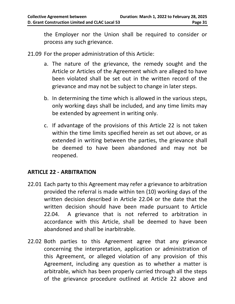the Employer nor the Union shall be required to consider or process any such grievance.

- 21.09 For the proper administration of this Article:
	- a. The nature of the grievance, the remedy sought and the Article or Articles of the Agreement which are alleged to have been violated shall be set out in the written record of the grievance and may not be subject to change in later steps.
	- b. In determining the time which is allowed in the various steps, only working days shall be included, and any time limits may be extended by agreement in writing only.
	- c. If advantage of the provisions of this Article 22 is not taken within the time limits specified herein as set out above, or as extended in writing between the parties, the grievance shall be deemed to have been abandoned and may not be reopened.

#### <span id="page-29-0"></span>**ARTICLE 22 - ARBITRATION**

- 22.01 Each party to this Agreement may refer a grievance to arbitration provided the referral is made within ten (10) working days of the written decision described in Article 22.04 or the date that the written decision should have been made pursuant to Article 22.04. A grievance that is not referred to arbitration in accordance with this Article, shall be deemed to have been abandoned and shall be inarbitrable.
- 22.02 Both parties to this Agreement agree that any grievance concerning the interpretation, application or administration of this Agreement, or alleged violation of any provision of this Agreement, including any question as to whether a matter is arbitrable, which has been properly carried through all the steps of the grievance procedure outlined at Article 22 above and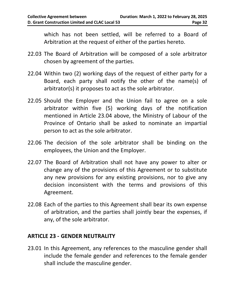which has not been settled, will be referred to a Board of Arbitration at the request of either of the parties hereto.

- 22.03 The Board of Arbitration will be composed of a sole arbitrator chosen by agreement of the parties.
- 22.04 Within two (2) working days of the request of either party for a Board, each party shall notify the other of the name(s) of arbitrator(s) it proposes to act as the sole arbitrator.
- 22.05 Should the Employer and the Union fail to agree on a sole arbitrator within five (5) working days of the notification mentioned in Article 23.04 above, the Ministry of Labour of the Province of Ontario shall be asked to nominate an impartial person to act as the sole arbitrator.
- 22.06 The decision of the sole arbitrator shall be binding on the employees, the Union and the Employer.
- 22.07 The Board of Arbitration shall not have any power to alter or change any of the provisions of this Agreement or to substitute any new provisions for any existing provisions, nor to give any decision inconsistent with the terms and provisions of this Agreement.
- 22.08 Each of the parties to this Agreement shall bear its own expense of arbitration, and the parties shall jointly bear the expenses, if any, of the sole arbitrator.

#### <span id="page-30-0"></span>**ARTICLE 23 - GENDER NEUTRALITY**

23.01 In this Agreement, any references to the masculine gender shall include the female gender and references to the female gender shall include the masculine gender.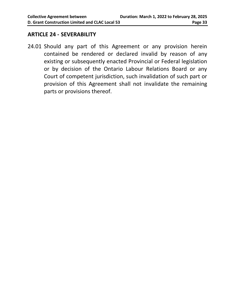#### <span id="page-31-0"></span>**ARTICLE 24 - SEVERABILITY**

24.01 Should any part of this Agreement or any provision herein contained be rendered or declared invalid by reason of any existing or subsequently enacted Provincial or Federal legislation or by decision of the Ontario Labour Relations Board or any Court of competent jurisdiction, such invalidation of such part or provision of this Agreement shall not invalidate the remaining parts or provisions thereof.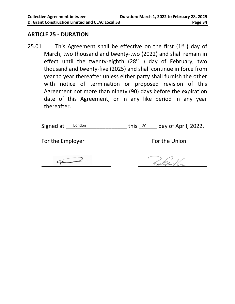#### <span id="page-32-0"></span>**ARTICLE 25 - DURATION**

25.01 This Agreement shall be effective on the first  $(1<sup>st</sup>)$  day of March, two thousand and twenty-two (2022) and shall remain in effect until the twenty-eighth (28<sup>th</sup>) day of February, two thousand and twenty-five (2025) and shall continue in force from year to year thereafter unless either party shall furnish the other with notice of termination or proposed revision of this Agreement not more than ninety (90) days before the expiration date of this Agreement, or in any like period in any year thereafter.

| Signed at London | this 20 | day of April, 2022. |
|------------------|---------|---------------------|
|------------------|---------|---------------------|

For the Employer For the Union

han Gard /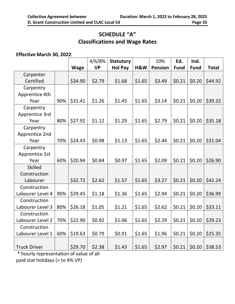#### **SCHEDULE "A" Classifications and Wage Rates**

#### <span id="page-33-0"></span>**Effective March 30, 2022**

|                     |     |             | 4/6/8%    | <b>Statutory</b> |        | 10%            | Ed.         | Ind.        |              |
|---------------------|-----|-------------|-----------|------------------|--------|----------------|-------------|-------------|--------------|
|                     |     | <b>Wage</b> | <b>VP</b> | <b>Hol Pay</b>   | H&W    | <b>Pension</b> | <b>Fund</b> | <b>Fund</b> | <b>Total</b> |
| Carpenter           |     |             |           |                  |        |                |             |             |              |
| Certified           |     | \$34.90     | \$2.79    | \$1.68           | \$1.65 | \$3.49         | \$0.21      | \$0.20      | \$44.92      |
| Carpentry           |     |             |           |                  |        |                |             |             |              |
| Apprentice 4th      |     |             |           |                  |        |                |             |             |              |
| Year                | 90% | \$31.41     | \$1.26    | \$1.45           | \$1.65 | \$3.14         | \$0.21      | \$0.20      | \$39.32      |
| Carpentry           |     |             |           |                  |        |                |             |             |              |
| Apprentice 3rd      |     |             |           |                  |        |                |             |             |              |
| Year                | 80% | \$27.92     | \$1.12    | \$1.29           | \$1.65 | \$2.79         | \$0.21      | \$0.20      | \$35.18      |
| Carpentry           |     |             |           |                  |        |                |             |             |              |
| Apprentice 2nd      |     |             |           |                  |        |                |             |             |              |
| Year                | 70% | \$24.43     | \$0.98    | \$1.13           | \$1.65 | \$2.44         | \$0.21      | \$0.20      | \$31.04      |
| Carpentry           |     |             |           |                  |        |                |             |             |              |
| Apprentice 1st      |     |             |           |                  |        |                |             |             |              |
| Year                | 60% | \$20.94     | \$0.84    | \$0.97           | \$1.65 | \$2.09         | \$0.21      | \$0.20      | \$26.90      |
| <b>Skilled</b>      |     |             |           |                  |        |                |             |             |              |
| Construction        |     |             |           |                  |        |                |             |             |              |
| Labourer            |     | \$32.72     | \$2.62    | \$1.57           | \$1.65 | \$3.27         | \$0.21      | \$0.20      | \$42.24      |
| Construction        |     |             |           |                  |        |                |             |             |              |
| Labourer Level 4    | 90% | \$29.45     | \$1.18    | \$1.36           | \$1.65 | \$2.94         | \$0.21      | \$0.20      | \$36.99      |
| Construction        |     |             |           |                  |        |                |             |             |              |
| Labourer Level 3    | 80% | \$26.18     | \$1.05    | \$1.21           | \$1.65 | \$2.62         | \$0.21      | \$0.20      | \$33.11      |
| Construction        |     |             |           |                  |        |                |             |             |              |
| Labourer Level 2    | 70% | \$22.90     | \$0.92    | \$1.06           | \$1.65 | \$2.29         | \$0.21      | \$0.20      | \$29.23      |
| Construction        |     |             |           |                  |        |                |             |             |              |
| Labourer Level 1    | 60% | \$19.63     | \$0.79    | \$0.91           | \$1.65 | \$1.96         | \$0.21      | \$0.20      | \$25.35      |
|                     |     |             |           |                  |        |                |             |             |              |
| <b>Truck Driver</b> |     | \$29.70     | \$2.38    | \$1.43           | \$1.65 | \$2.97         | \$0.21      | \$0.20      | \$38.53      |

\* hourly representation of value of all paid stat holidays (= to 4% VP)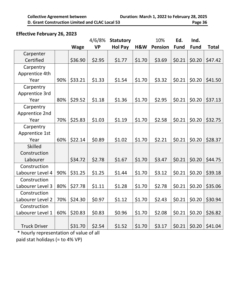#### **Effective February 26, 2023**

|                             |     |                          | 4/6/8%                  | <b>Statutory</b> |        | 10%            | Ed.         | Ind.        |              |
|-----------------------------|-----|--------------------------|-------------------------|------------------|--------|----------------|-------------|-------------|--------------|
|                             |     | <b>Wage</b>              | <b>VP</b>               | <b>Hol Pay</b>   | H&W    | <b>Pension</b> | <b>Fund</b> | <b>Fund</b> | <b>Total</b> |
| Carpenter                   |     |                          |                         |                  |        |                |             |             |              |
| Certified                   |     | \$36.90                  | \$2.95                  | \$1.77           | \$1.70 | \$3.69         | \$0.21      | \$0.20      | \$47.42      |
| Carpentry                   |     |                          |                         |                  |        |                |             |             |              |
| Apprentice 4th              |     |                          |                         |                  |        |                |             |             |              |
| Year                        | 90% | \$33.21                  | \$1.33                  | \$1.54           | \$1.70 | \$3.32         | \$0.21      | \$0.20      | \$41.50      |
| Carpentry                   |     |                          |                         |                  |        |                |             |             |              |
| Apprentice 3rd              |     |                          |                         |                  |        |                |             |             |              |
| Year                        | 80% | \$29.52                  | \$1.18                  | \$1.36           | \$1.70 | \$2.95         | \$0.21      | \$0.20      | \$37.13      |
| Carpentry                   |     |                          |                         |                  |        |                |             |             |              |
| Apprentice 2nd              |     |                          |                         |                  |        |                |             |             |              |
| Year                        | 70% | \$25.83                  | \$1.03                  | \$1.19           | \$1.70 | \$2.58         | \$0.21      | \$0.20      | \$32.75      |
| Carpentry                   |     |                          |                         |                  |        |                |             |             |              |
| Apprentice 1st              |     |                          |                         |                  |        |                |             |             |              |
| Year                        | 60% | \$22.14                  | \$0.89                  | \$1.02           | \$1.70 | \$2.21         | \$0.21      | \$0.20      | \$28.37      |
| <b>Skilled</b>              |     |                          |                         |                  |        |                |             |             |              |
| Construction                |     |                          |                         |                  |        |                |             |             |              |
| Labourer                    |     | \$34.72                  | \$2.78                  | \$1.67           | \$1.70 | \$3.47         | \$0.21      | \$0.20      | \$44.75      |
| Construction                |     |                          |                         |                  |        |                |             |             |              |
| Labourer Level 4            | 90% | \$31.25                  | \$1.25                  | \$1.44           | \$1.70 | \$3.12         | \$0.21      | \$0.20      | \$39.18      |
| Construction                |     |                          |                         |                  |        |                |             |             |              |
| Labourer Level 3            | 80% | \$27.78                  | \$1.11                  | \$1.28           | \$1.70 | \$2.78         | \$0.21      | \$0.20      | \$35.06      |
| Construction                |     |                          |                         |                  |        |                |             |             |              |
| Labourer Level 2            | 70% | \$24.30                  | \$0.97                  | \$1.12           | \$1.70 | \$2.43         | \$0.21      | \$0.20      | \$30.94      |
| Construction                |     |                          |                         |                  |        |                |             |             |              |
| Labourer Level 1            | 60% | \$20.83                  | \$0.83                  | \$0.96           | \$1.70 | \$2.08         | \$0.21      | \$0.20      | \$26.82      |
|                             |     |                          |                         |                  |        |                |             |             |              |
| <b>Truck Driver</b><br>ا بك |     | \$31.70<br>$\sim$ $\sim$ | \$2.54<br>$\sim$ $\sim$ | \$1.52           | \$1.70 | \$3.17         | \$0.21      | \$0.20      | \$41.04      |

\* hourly representation of value of all paid stat holidays (= to 4% VP)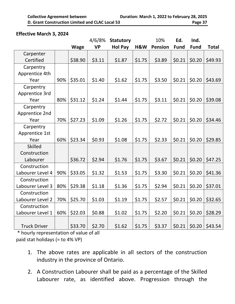#### **Effective March 3, 2024**

|                     |     |             | 4/6/8%    | <b>Statutory</b> |        | 10%            | Ed.         | Ind.        |              |
|---------------------|-----|-------------|-----------|------------------|--------|----------------|-------------|-------------|--------------|
|                     |     | <b>Wage</b> | <b>VP</b> | <b>Hol Pay</b>   | H&W    | <b>Pension</b> | <b>Fund</b> | <b>Fund</b> | <b>Total</b> |
| Carpenter           |     |             |           |                  |        |                |             |             |              |
| Certified           |     | \$38.90     | \$3.11    | \$1.87           | \$1.75 | \$3.89         | \$0.21      | \$0.20      | \$49.93      |
| Carpentry           |     |             |           |                  |        |                |             |             |              |
| Apprentice 4th      |     |             |           |                  |        |                |             |             |              |
| Year                | 90% | \$35.01     | \$1.40    | \$1.62           | \$1.75 | \$3.50         | \$0.21      | \$0.20      | \$43.69      |
| Carpentry           |     |             |           |                  |        |                |             |             |              |
| Apprentice 3rd      |     |             |           |                  |        |                |             |             |              |
| Year                | 80% | \$31.12     | \$1.24    | \$1.44           | \$1.75 | \$3.11         | \$0.21      | \$0.20      | \$39.08      |
| Carpentry           |     |             |           |                  |        |                |             |             |              |
| Apprentice 2nd      |     |             |           |                  |        |                |             |             |              |
| Year                | 70% | \$27.23     | \$1.09    | \$1.26           | \$1.75 | \$2.72         | \$0.21      | \$0.20      | \$34.46      |
| Carpentry           |     |             |           |                  |        |                |             |             |              |
| Apprentice 1st      |     |             |           |                  |        |                |             |             |              |
| Year                | 60% | \$23.34     | \$0.93    | \$1.08           | \$1.75 | \$2.33         | \$0.21      | \$0.20      | \$29.85      |
| <b>Skilled</b>      |     |             |           |                  |        |                |             |             |              |
| Construction        |     |             |           |                  |        |                |             |             |              |
| Labourer            |     | \$36.72     | \$2.94    | \$1.76           | \$1.75 | \$3.67         | \$0.21      | \$0.20      | \$47.25      |
| Construction        |     |             |           |                  |        |                |             |             |              |
| Labourer Level 4    | 90% | \$33.05     | \$1.32    | \$1.53           | \$1.75 | \$3.30         | \$0.21      | \$0.20      | \$41.36      |
| Construction        |     |             |           |                  |        |                |             |             |              |
| Labourer Level 3    | 80% | \$29.38     | \$1.18    | \$1.36           | \$1.75 | \$2.94         | \$0.21      | \$0.20      | \$37.01      |
| Construction        |     |             |           |                  |        |                |             |             |              |
| Labourer Level 2    | 70% | \$25.70     | \$1.03    | \$1.19           | \$1.75 | \$2.57         | \$0.21      | \$0.20      | \$32.65      |
| Construction        |     |             |           |                  |        |                |             |             |              |
| Labourer Level 1    | 60% | \$22.03     | \$0.88    | \$1.02           | \$1.75 | \$2.20         | \$0.21      | \$0.20      | \$28.29      |
|                     |     |             |           |                  |        |                |             |             |              |
| <b>Truck Driver</b> |     | \$33.70     | \$2.70    | \$1.62           | \$1.75 | \$3.37         | \$0.21      | \$0.20      | \$43.54      |

\* hourly representation of value of all paid stat holidays (= to 4% VP)

- 1. The above rates are applicable in all sectors of the construction industry in the province of Ontario.
- 2. A Construction Labourer shall be paid as a percentage of the Skilled Labourer rate, as identified above. Progression through the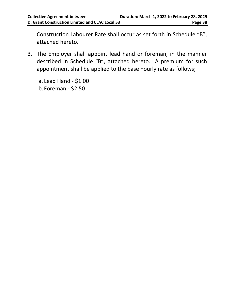Construction Labourer Rate shall occur as set forth in Schedule "B", attached hereto.

3. The Employer shall appoint lead hand or foreman, in the manner described in Schedule "B", attached hereto. A premium for such appointment shall be applied to the base hourly rate as follows;

a. Lead Hand - \$1.00 b. Foreman - \$2.50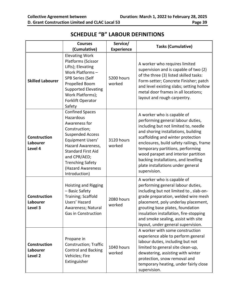<span id="page-37-0"></span>

|                                                       | <b>Courses</b><br>(Cumulative)                                                                                                                                                                                                                          | Service/<br><b>Experience</b> | <b>Tasks (Cumulative)</b>                                                                                                                                                                                                                                                                                                                                                                               |
|-------------------------------------------------------|---------------------------------------------------------------------------------------------------------------------------------------------------------------------------------------------------------------------------------------------------------|-------------------------------|---------------------------------------------------------------------------------------------------------------------------------------------------------------------------------------------------------------------------------------------------------------------------------------------------------------------------------------------------------------------------------------------------------|
| <b>Skilled Labourer</b>                               | <b>Elevating Work</b><br>Platforms (Scissor<br>Lifts); Elevating<br>Work Platforms-<br><b>SPB Series (Self</b><br>Propelled Boom<br><b>Supported Elevating</b><br>Work Platforms);<br><b>Forklift Operator</b><br>Safety                                | 5200 hours<br>worked          | A worker who requires limited<br>supervision and is capable of two (2)<br>of the three (3) listed skilled tasks:<br>Form-setter; Concrete Finisher; patch<br>and level existing slabs; setting hollow<br>metal door frames in all locations;<br>layout and rough carpentry.                                                                                                                             |
| <b>Construction</b><br>Labourer<br>Level 4            | <b>Confined Spaces</b><br>Hazardous<br>Awareness for<br>Construction;<br><b>Suspended Access</b><br>Equipment Users'<br>Hazard Awareness,<br><b>Standard First Aid</b><br>and CPR/AED;<br><b>Trenching Safety</b><br>(Hazard Awareness<br>Introduction) | 3120 hours<br>worked          | A worker who is capable of<br>performing general labour duties,<br>including but not limited to, needle<br>and shoring installations, building<br>scaffolding and winter protection<br>enclosures, build safety railings, frame<br>temporary partitions, performing<br>wood parapet and interior partition<br>backing installations, and levelling<br>plate installations under general<br>supervision. |
| <b>Construction</b><br>Labourer<br>Level 3            | <b>Hoisting and Rigging</b><br>- Basic Safety<br>Training; Scaffold<br>Users' Hazard<br>Awareness; Natural<br>Gas in Construction                                                                                                                       | 2080 hours<br>worked          | A worker who is capable of<br>performing general labour duties,<br>including but not limited to, slab-on-<br>grade preparation, welded wire mesh<br>placement, poly underlay placement,<br>grouting base plates, foundation<br>insulation installation, fire-stopping<br>and smoke sealing, assist with site<br>layout, under general supervision.                                                      |
| <b>Construction</b><br>Labourer<br>Level <sub>2</sub> | Propane in<br>Construction; Traffic<br><b>Control and Backing</b><br>Vehicles; Fire<br>Extinguisher                                                                                                                                                     | 1040 hours<br>worked          | A worker with some construction<br>experience able to perform general<br>labour duties, including but not<br>limited to general site clean-up,<br>dewatering, assisting with winter<br>protection, snow removal and<br>temporary heating, under fairly close<br>supervision.                                                                                                                            |

#### **SCHEDULE "B" LABOUR DEFINITIONS**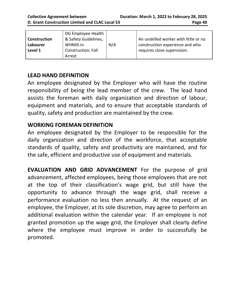#### **LEAD HAND DEFINITION**

An employee designated by the Employer who will have the routine responsibility of being the lead member of the crew. The lead hand assists the foreman with daily organization and direction of labour, equipment and materials, and to ensure that acceptable standards of quality, safety and production are maintained by the crew.

#### **WORKING FOREMAN DEFINITION**

An employee designated by the Employer to be responsible for the daily organization and direction of the workforce, that acceptable standards of quality, safety and productivity are maintained, and for the safe, efficient and productive use of equipment and materials.

**EVALUATION AND GRID ADVANCEMENT** For the purpose of grid advancement, affected employees, being those employees that are not at the top of their classification's wage grid, but still have the opportunity to advance through the wage grid, shall receive a performance evaluation no less then annually. At the request of an employee, the Employer, at its sole discretion, may agree to perform an additional evaluation within the calendar year. If an employee is not granted promotion up the wage grid, the Employer shall clearly define where the employee must improve in order to successfully be promoted.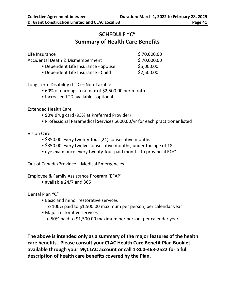#### **SCHEDULE "C" Summary of Health Care Benefits**

<span id="page-39-0"></span>

| Life Insurance                      | \$70,000.00 |
|-------------------------------------|-------------|
| Accidental Death & Dismemberment    | \$70,000.00 |
| • Dependent Life Insurance - Spouse | \$5,000.00  |
| • Dependent Life Insurance - Child  | \$2,500.00  |
|                                     |             |

Long-Term Disability (LTD) – Non-Taxable

- 60% of earnings to a max of \$2,500.00 per month
- Increased LTD available optional

Extended Health Care

- 90% drug card (95% at Preferred Provider)
- Professional Paramedical Services \$600.00/yr for each practitioner listed

Vision Care

- \$350.00 every twenty-four (24) consecutive months
- \$350.00 every twelve consecutive months, under the age of 18
- eye exam once every twenty-four paid months to provincial R&C

Out of Canada/Province – Medical Emergencies

Employee & Family Assistance Program (EFAP)

• available 24/7 and 365

Dental Plan "C"

- Basic and minor restorative services
	- o 100% paid to \$1,500.00 maximum per person, per calendar year
- Major restorative services
	- o 50% paid to \$1,500.00 maximum per person, per calendar year

**The above is intended only as a summary of the major features of the health care benefits. Please consult your CLAC Health Care Benefit Plan Booklet available through your MyCLAC account or call 1-800-463-2522 for a full description of health care benefits covered by the Plan.**